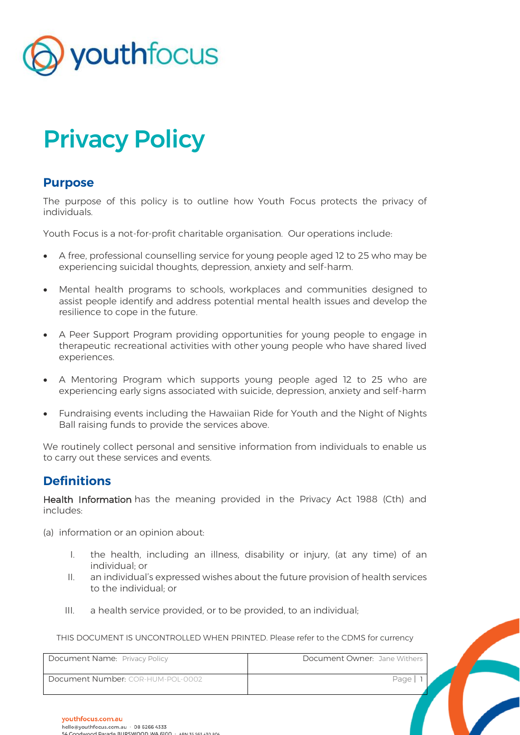

# Privacy Policy

### **Purpose**

The purpose of this policy is to outline how Youth Focus protects the privacy of individuals.

Youth Focus is a not-for-profit charitable organisation. Our operations include:

- A free, professional counselling service for young people aged 12 to 25 who may be experiencing suicidal thoughts, depression, anxiety and self-harm.
- Mental health programs to schools, workplaces and communities designed to assist people identify and address potential mental health issues and develop the resilience to cope in the future.
- A Peer Support Program providing opportunities for young people to engage in therapeutic recreational activities with other young people who have shared lived experiences.
- A Mentoring Program which supports young people aged 12 to 25 who are experiencing early signs associated with suicide, depression, anxiety and self-harm
- Fundraising events including the Hawaiian Ride for Youth and the Night of Nights Ball raising funds to provide the services above.

We routinely collect personal and sensitive information from individuals to enable us to carry out these services and events.

## **Definitions**

Health Information has the meaning provided in the Privacy Act 1988 (Cth) and includes:

- (a) information or an opinion about:
	- I. the health, including an illness, disability or injury, (at any time) of an individual; or
	- II. an individual's expressed wishes about the future provision of health services to the individual; or
	- III. a health service provided, or to be provided, to an individual;

| Document Name: Privacy Policy     | Document Owner: Jane Withers |  |
|-----------------------------------|------------------------------|--|
| Document Number: COR-HUM-POL-0002 | Page                         |  |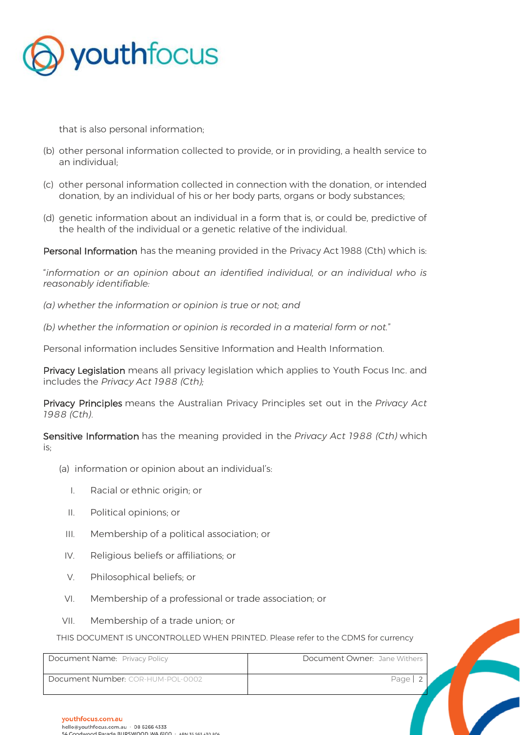

that is also personal information;

- (b) other personal information collected to provide, or in providing, a health service to an individual;
- (c) other personal information collected in connection with the donation, or intended donation, by an individual of his or her body parts, organs or body substances;
- (d) genetic information about an individual in a form that is, or could be, predictive of the health of the individual or a genetic relative of the individual.

Personal Information has the meaning provided in the Privacy Act 1988 (Cth) which is:

"*information or an opinion about an identified individual, or an individual who is reasonably identifiable:* 

*(a) whether the information or opinion is true or not; and* 

*(b) whether the information or opinion is recorded in a material form or not.*"

Personal information includes Sensitive Information and Health Information.

Privacy Legislation means all privacy legislation which applies to Youth Focus Inc. and includes the *Privacy Act 1988 (Cth);*

Privacy Principles means the Australian Privacy Principles set out in the *Privacy Act 1988 (Cth)*.

Sensitive Information has the meaning provided in the *Privacy Act 1988 (Cth)* which is;

- (a) information or opinion about an individual's:
	- I. Racial or ethnic origin; or
	- II. Political opinions; or
	- III. Membership of a political association; or
	- IV. Religious beliefs or affiliations; or
	- V. Philosophical beliefs; or
	- VI. Membership of a professional or trade association; or
- VII. Membership of a trade union; or

| Document Name: Privacy Policy     | Document Owner: Jane Withers |
|-----------------------------------|------------------------------|
| Document Number: COR-HUM-POL-0002 | Page   2                     |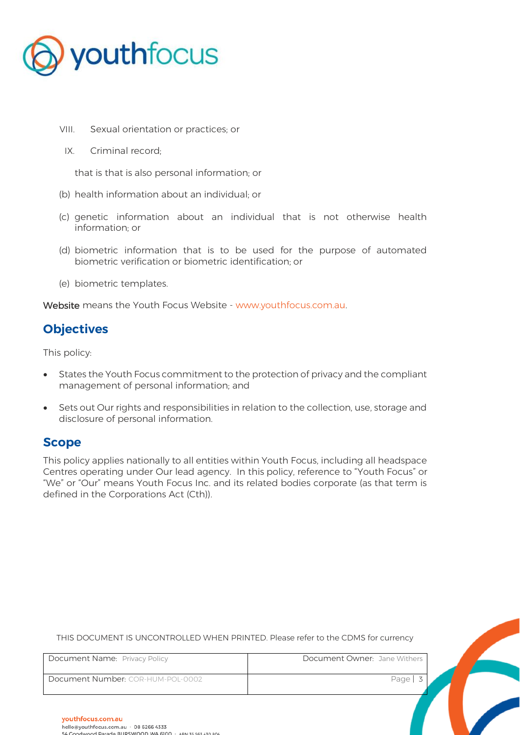

- VIII. Sexual orientation or practices; or
- IX. Criminal record;

that is that is also personal information; or

- (b) health information about an individual; or
- (c) genetic information about an individual that is not otherwise health information; or
- (d) biometric information that is to be used for the purpose of automated biometric verification or biometric identification; or
- (e) biometric templates.

Website means the Youth Focus Website - [www.youthfocus.com.au.](http://www.youthfocus.com.au/)

# **Objectives**

This policy:

- States the Youth Focus commitment to the protection of privacy and the compliant management of personal information; and
- Sets out Our rights and responsibilities in relation to the collection, use, storage and disclosure of personal information.

## **Scope**

This policy applies nationally to all entities within Youth Focus, including all headspace Centres operating under Our lead agency. In this policy, reference to "Youth Focus" or "We" or "Our" means Youth Focus Inc. and its related bodies corporate (as that term is defined in the Corporations Act (Cth)).

| Document Name: Privacy Policy     | Document Owner: Jane Withers |
|-----------------------------------|------------------------------|
| Document Number: COR-HUM-POL-0002 | Page $\vert$ 3               |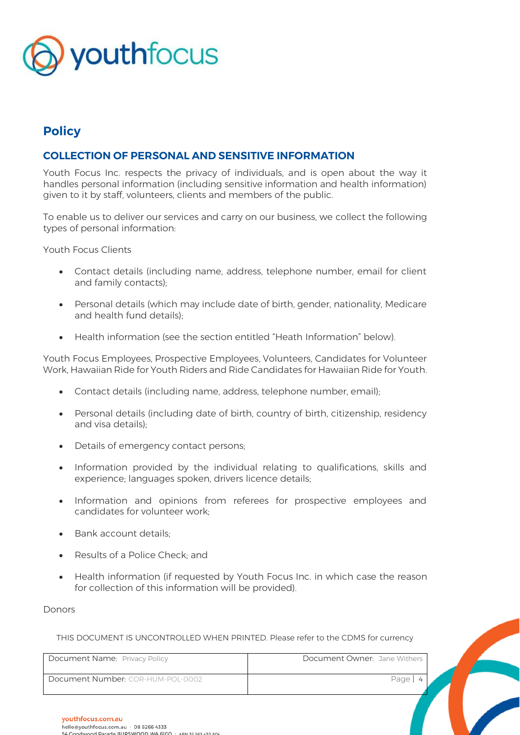

# **Policy**

#### **COLLECTION OF PERSONAL AND SENSITIVE INFORMATION**

Youth Focus Inc. respects the privacy of individuals, and is open about the way it handles personal information (including sensitive information and health information) given to it by staff, volunteers, clients and members of the public.

To enable us to deliver our services and carry on our business, we collect the following types of personal information:

Youth Focus Clients

- Contact details (including name, address, telephone number, email for client and family contacts);
- Personal details (which may include date of birth, gender, nationality, Medicare and health fund details);
- Health information (see the section entitled "Heath Information" below).

Youth Focus Employees, Prospective Employees, Volunteers, Candidates for Volunteer Work, Hawaiian Ride for Youth Riders and Ride Candidates for Hawaiian Ride for Youth.

- Contact details (including name, address, telephone number, email);
- Personal details (including date of birth, country of birth, citizenship, residency and visa details);
- Details of emergency contact persons;
- Information provided by the individual relating to qualifications, skills and experience; languages spoken, drivers licence details;
- Information and opinions from referees for prospective employees and candidates for volunteer work;
- Bank account details:
- Results of a Police Check; and
- Health information (if requested by Youth Focus Inc. in which case the reason for collection of this information will be provided).

Donors

| Document Name: Privacy Policy     | Document Owner: Jane Withers |
|-----------------------------------|------------------------------|
| Document Number: COR-HUM-POL-0002 | Page   4                     |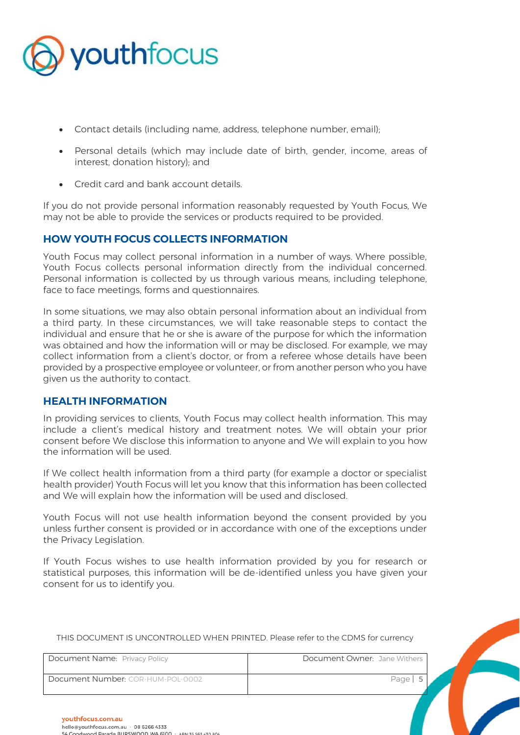

- Contact details (including name, address, telephone number, email);
- Personal details (which may include date of birth, gender, income, areas of interest, donation history); and
- Credit card and bank account details.

If you do not provide personal information reasonably requested by Youth Focus, We may not be able to provide the services or products required to be provided.

#### **HOW YOUTH FOCUS COLLECTS INFORMATION**

Youth Focus may collect personal information in a number of ways. Where possible, Youth Focus collects personal information directly from the individual concerned. Personal information is collected by us through various means, including telephone, face to face meetings, forms and questionnaires.

In some situations, we may also obtain personal information about an individual from a third party. In these circumstances, we will take reasonable steps to contact the individual and ensure that he or she is aware of the purpose for which the information was obtained and how the information will or may be disclosed. For example, we may collect information from a client's doctor, or from a referee whose details have been provided by a prospective employee or volunteer, or from another person who you have given us the authority to contact.

#### **HEALTH INFORMATION**

In providing services to clients, Youth Focus may collect health information. This may include a client's medical history and treatment notes. We will obtain your prior consent before We disclose this information to anyone and We will explain to you how the information will be used.

If We collect health information from a third party (for example a doctor or specialist health provider) Youth Focus will let you know that this information has been collected and We will explain how the information will be used and disclosed.

Youth Focus will not use health information beyond the consent provided by you unless further consent is provided or in accordance with one of the exceptions under the Privacy Legislation.

If Youth Focus wishes to use health information provided by you for research or statistical purposes, this information will be de-identified unless you have given your consent for us to identify you.

| Document Name: Privacy Policy     | Document Owner: Jane Withers |
|-----------------------------------|------------------------------|
| Document Number: COR-HUM-POL-0002 | Page                         |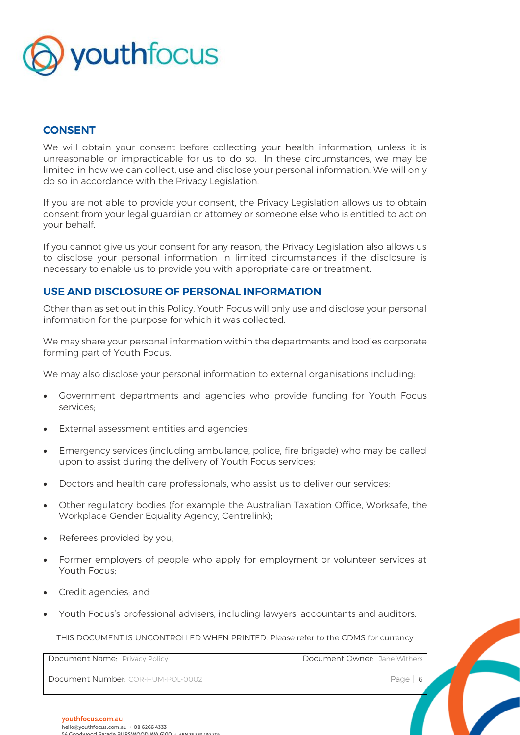

#### **CONSENT**

We will obtain your consent before collecting your health information, unless it is unreasonable or impracticable for us to do so. In these circumstances, we may be limited in how we can collect, use and disclose your personal information. We will only do so in accordance with the Privacy Legislation.

If you are not able to provide your consent, the Privacy Legislation allows us to obtain consent from your legal guardian or attorney or someone else who is entitled to act on your behalf.

If you cannot give us your consent for any reason, the Privacy Legislation also allows us to disclose your personal information in limited circumstances if the disclosure is necessary to enable us to provide you with appropriate care or treatment.

#### **USE AND DISCLOSURE OF PERSONAL INFORMATION**

Other than as set out in this Policy, Youth Focus will only use and disclose your personal information for the purpose for which it was collected.

We may share your personal information within the departments and bodies corporate forming part of Youth Focus.

We may also disclose your personal information to external organisations including:

- Government departments and agencies who provide funding for Youth Focus services;
- External assessment entities and agencies;
- Emergency services (including ambulance, police, fire brigade) who may be called upon to assist during the delivery of Youth Focus services;
- Doctors and health care professionals, who assist us to deliver our services;
- Other regulatory bodies (for example the Australian Taxation Office, Worksafe, the Workplace Gender Equality Agency, Centrelink);
- Referees provided by you;
- Former employers of people who apply for employment or volunteer services at Youth Focus;
- Credit agencies; and
- Youth Focus's professional advisers, including lawyers, accountants and auditors.

| Document Name: Privacy Policy     | Document Owner: Jane Withers |  |
|-----------------------------------|------------------------------|--|
| Document Number: COR-HUM-POL-0002 | Page                         |  |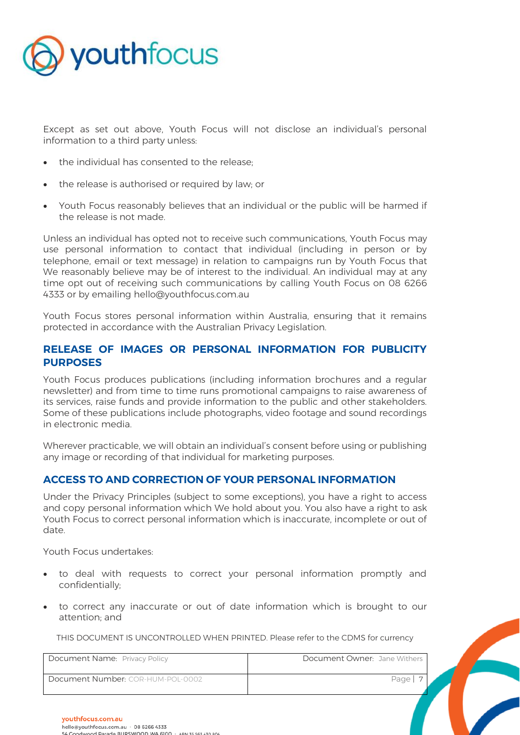

Except as set out above, Youth Focus will not disclose an individual's personal information to a third party unless:

- the individual has consented to the release;
- the release is authorised or required by law; or
- Youth Focus reasonably believes that an individual or the public will be harmed if the release is not made.

Unless an individual has opted not to receive such communications, Youth Focus may use personal information to contact that individual (including in person or by telephone, email or text message) in relation to campaigns run by Youth Focus that We reasonably believe may be of interest to the individual. An individual may at any time opt out of receiving such communications by calling Youth Focus on 08 6266 4333 or by emailing hello@youthfocus.com.au

Youth Focus stores personal information within Australia, ensuring that it remains protected in accordance with the Australian Privacy Legislation.

#### **RELEASE OF IMAGES OR PERSONAL INFORMATION FOR PUBLICITY PURPOSES**

Youth Focus produces publications (including information brochures and a regular newsletter) and from time to time runs promotional campaigns to raise awareness of its services, raise funds and provide information to the public and other stakeholders. Some of these publications include photographs, video footage and sound recordings in electronic media.

Wherever practicable, we will obtain an individual's consent before using or publishing any image or recording of that individual for marketing purposes.

#### **ACCESS TO AND CORRECTION OF YOUR PERSONAL INFORMATION**

Under the Privacy Principles (subject to some exceptions), you have a right to access and copy personal information which We hold about you. You also have a right to ask Youth Focus to correct personal information which is inaccurate, incomplete or out of date.

Youth Focus undertakes:

- to deal with requests to correct your personal information promptly and confidentially;
- to correct any inaccurate or out of date information which is brought to our attention; and

| Document Name: Privacy Policy     | Document Owner: Jane Withers |
|-----------------------------------|------------------------------|
| Document Number: COR-HUM-POL-0002 | Page                         |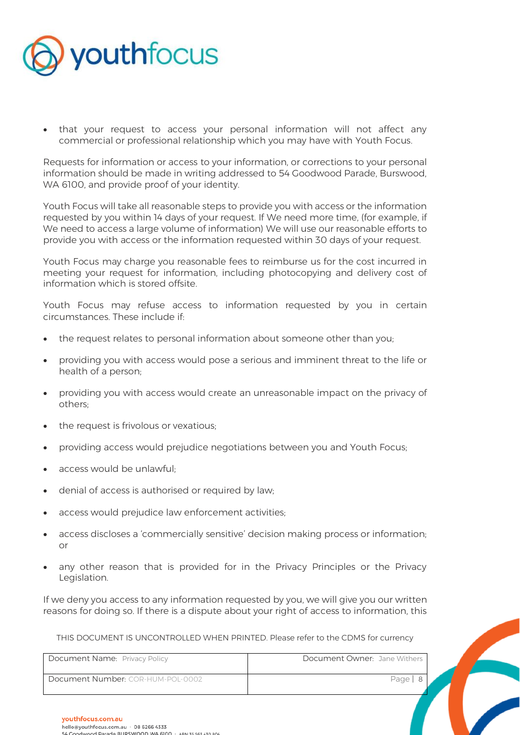

• that your request to access your personal information will not affect any commercial or professional relationship which you may have with Youth Focus.

Requests for information or access to your information, or corrections to your personal information should be made in writing addressed to 54 Goodwood Parade, Burswood, WA 6100, and provide proof of your identity.

Youth Focus will take all reasonable steps to provide you with access or the information requested by you within 14 days of your request. If We need more time, (for example, if We need to access a large volume of information) We will use our reasonable efforts to provide you with access or the information requested within 30 days of your request.

Youth Focus may charge you reasonable fees to reimburse us for the cost incurred in meeting your request for information, including photocopying and delivery cost of information which is stored offsite.

Youth Focus may refuse access to information requested by you in certain circumstances. These include if:

- the request relates to personal information about someone other than you;
- providing you with access would pose a serious and imminent threat to the life or health of a person;
- providing you with access would create an unreasonable impact on the privacy of others;
- the request is frivolous or vexatious:
- providing access would prejudice negotiations between you and Youth Focus;
- access would be unlawful;
- denial of access is authorised or required by law;
- access would prejudice law enforcement activities;
- access discloses a 'commercially sensitive' decision making process or information; or
- any other reason that is provided for in the Privacy Principles or the Privacy Legislation.

If we deny you access to any information requested by you, we will give you our written reasons for doing so. If there is a dispute about your right of access to information, this

| Document Name: Privacy Policy     | Document Owner: Jane Withers |
|-----------------------------------|------------------------------|
| Document Number: COR-HUM-POL-0002 | Page   8                     |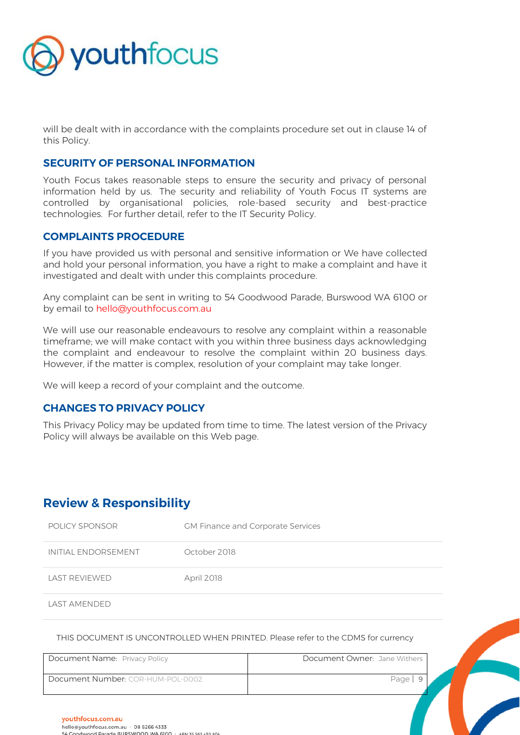

will be dealt with in accordance with the complaints procedure set out in clause 14 of this Policy.

#### **SECURITY OF PERSONAL INFORMATION**

Youth Focus takes reasonable steps to ensure the security and privacy of personal information held by us. The security and reliability of Youth Focus IT systems are controlled by organisational policies, role-based security and best-practice technologies. For further detail, refer to the IT Security Policy.

#### **COMPLAINTS PROCEDURE**

If you have provided us with personal and sensitive information or We have collected and hold your personal information, you have a right to make a complaint and have it investigated and dealt with under this complaints procedure.

Any complaint can be sent in writing to 54 Goodwood Parade, Burswood WA 6100 or by email to hello@youthfocus.com.au

We will use our reasonable endeavours to resolve any complaint within a reasonable timeframe; we will make contact with you within three business days acknowledging the complaint and endeavour to resolve the complaint within 20 business days. However, if the matter is complex, resolution of your complaint may take longer.

We will keep a record of your complaint and the outcome.

#### **CHANGES TO PRIVACY POLICY**

This Privacy Policy may be updated from time to time. The latest version of the Privacy Policy will always be available on this Web page.

## **Review & Responsibility**

| POLICY SPONSOR      | <b>GM Finance and Corporate Services</b> |
|---------------------|------------------------------------------|
| INITIAI FNDORSEMENT | October 2018                             |
| LAST REVIEWED       | <b>April 2018</b>                        |

LAST AMENDED

| Document Name: Privacy Policy     | Document Owner: Jane Withers |
|-----------------------------------|------------------------------|
| Document Number: COR-HUM-POL-0002 | Page                         |